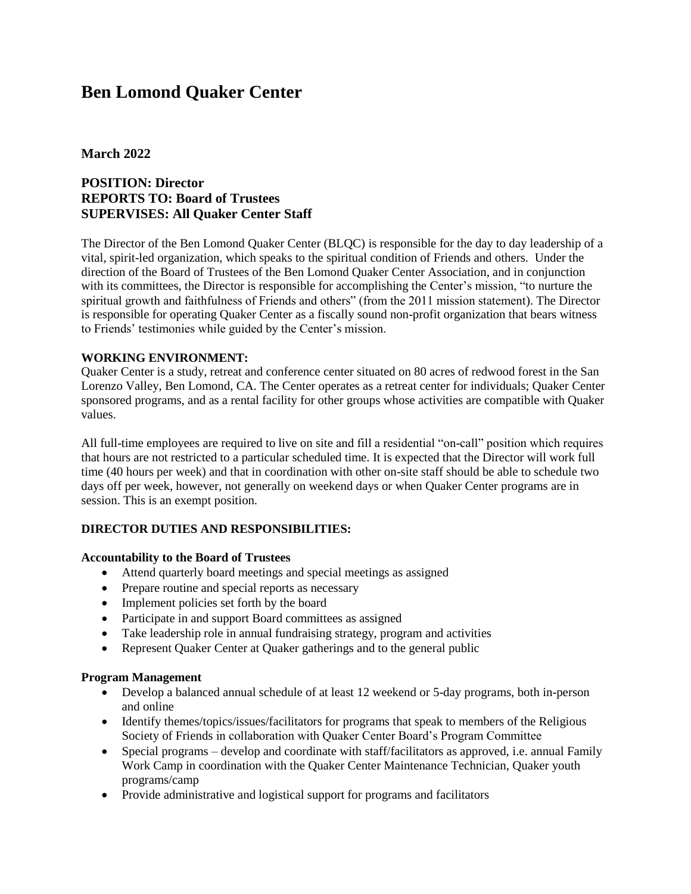# **Ben Lomond Quaker Center**

# **March 2022**

# **POSITION: Director REPORTS TO: Board of Trustees SUPERVISES: All Quaker Center Staff**

The Director of the Ben Lomond Quaker Center (BLQC) is responsible for the day to day leadership of a vital, spirit-led organization, which speaks to the spiritual condition of Friends and others. Under the direction of the Board of Trustees of the Ben Lomond Quaker Center Association, and in conjunction with its committees, the Director is responsible for accomplishing the Center's mission, "to nurture the spiritual growth and faithfulness of Friends and others" (from the 2011 mission statement). The Director is responsible for operating Quaker Center as a fiscally sound non-profit organization that bears witness to Friends' testimonies while guided by the Center's mission.

## **WORKING ENVIRONMENT:**

Quaker Center is a study, retreat and conference center situated on 80 acres of redwood forest in the San Lorenzo Valley, Ben Lomond, CA. The Center operates as a retreat center for individuals; Quaker Center sponsored programs, and as a rental facility for other groups whose activities are compatible with Quaker values.

All full-time employees are required to live on site and fill a residential "on-call" position which requires that hours are not restricted to a particular scheduled time. It is expected that the Director will work full time (40 hours per week) and that in coordination with other on-site staff should be able to schedule two days off per week, however, not generally on weekend days or when Quaker Center programs are in session. This is an exempt position.

# **DIRECTOR DUTIES AND RESPONSIBILITIES:**

#### **Accountability to the Board of Trustees**

- Attend quarterly board meetings and special meetings as assigned
- Prepare routine and special reports as necessary
- Implement policies set forth by the board
- Participate in and support Board committees as assigned
- Take leadership role in annual fundraising strategy, program and activities
- Represent Quaker Center at Quaker gatherings and to the general public

#### **Program Management**

- Develop a balanced annual schedule of at least 12 weekend or 5-day programs, both in-person and online
- Identify themes/topics/issues/facilitators for programs that speak to members of the Religious Society of Friends in collaboration with Quaker Center Board's Program Committee
- Special programs develop and coordinate with staff/facilitators as approved, i.e. annual Family Work Camp in coordination with the Quaker Center Maintenance Technician, Quaker youth programs/camp
- Provide administrative and logistical support for programs and facilitators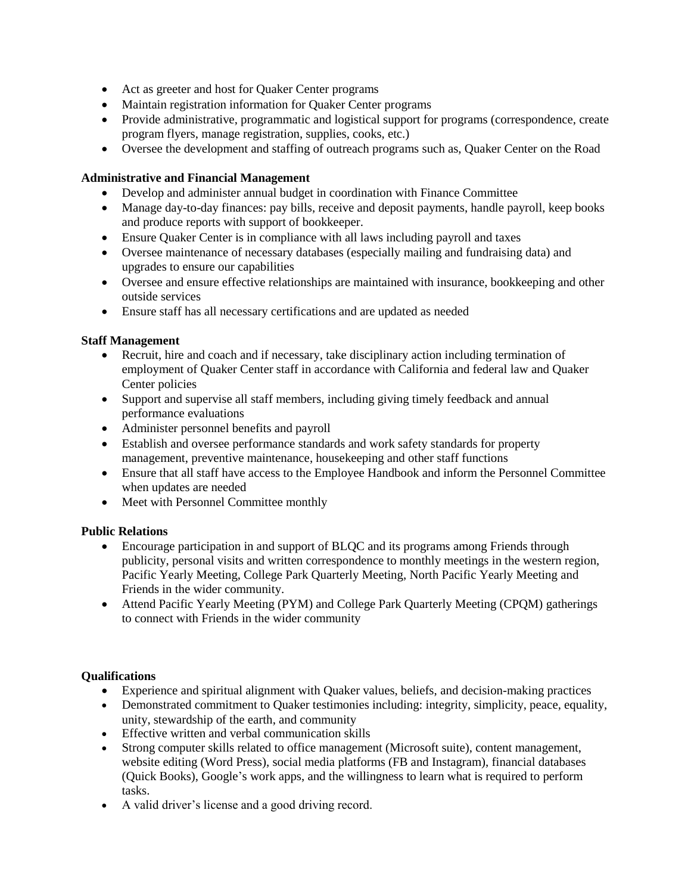- Act as greeter and host for Quaker Center programs
- Maintain registration information for Quaker Center programs
- Provide administrative, programmatic and logistical support for programs (correspondence, create program flyers, manage registration, supplies, cooks, etc.)
- Oversee the development and staffing of outreach programs such as, Quaker Center on the Road

#### **Administrative and Financial Management**

- Develop and administer annual budget in coordination with Finance Committee
- Manage day-to-day finances: pay bills, receive and deposit payments, handle payroll, keep books and produce reports with support of bookkeeper.
- Ensure Quaker Center is in compliance with all laws including payroll and taxes
- Oversee maintenance of necessary databases (especially mailing and fundraising data) and upgrades to ensure our capabilities
- Oversee and ensure effective relationships are maintained with insurance, bookkeeping and other outside services
- Ensure staff has all necessary certifications and are updated as needed

#### **Staff Management**

- Recruit, hire and coach and if necessary, take disciplinary action including termination of employment of Quaker Center staff in accordance with California and federal law and Quaker Center policies
- Support and supervise all staff members, including giving timely feedback and annual performance evaluations
- Administer personnel benefits and payroll
- Establish and oversee performance standards and work safety standards for property management, preventive maintenance, housekeeping and other staff functions
- Ensure that all staff have access to the Employee Handbook and inform the Personnel Committee when updates are needed
- Meet with Personnel Committee monthly

#### **Public Relations**

- Encourage participation in and support of BLQC and its programs among Friends through publicity, personal visits and written correspondence to monthly meetings in the western region, Pacific Yearly Meeting, College Park Quarterly Meeting, North Pacific Yearly Meeting and Friends in the wider community.
- Attend Pacific Yearly Meeting (PYM) and College Park Quarterly Meeting (CPQM) gatherings to connect with Friends in the wider community

#### **Qualifications**

- Experience and spiritual alignment with Quaker values, beliefs, and decision-making practices
- Demonstrated commitment to Quaker testimonies including: integrity, simplicity, peace, equality, unity, stewardship of the earth, and community
- Effective written and verbal communication skills
- Strong computer skills related to office management (Microsoft suite), content management, website editing (Word Press), social media platforms (FB and Instagram), financial databases (Quick Books), Google's work apps, and the willingness to learn what is required to perform tasks.
- A valid driver's license and a good driving record.